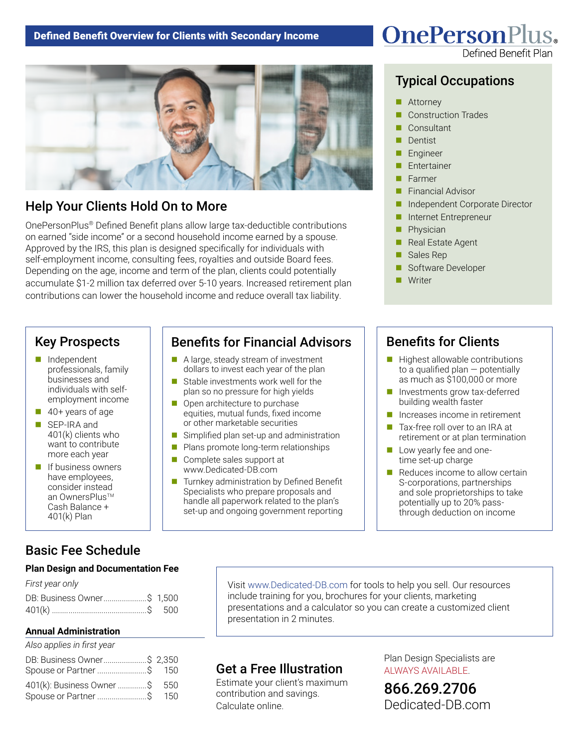

# Help Your Clients Hold On to More

OnePersonPlus® Defined Benefit plans allow large tax-deductible contributions on earned "side income" or a second household income earned by a spouse. Approved by the IRS, this plan is designed specifically for individuals with self-employment income, consulting fees, royalties and outside Board fees. Depending on the age, income and term of the plan, clients could potentially accumulate \$1-2 million tax deferred over 5-10 years. Increased retirement plan contributions can lower the household income and reduce overall tax liability.

#### Key Prospects

- $\blacksquare$  Independent professionals, family businesses and individuals with selfemployment income
- $\blacksquare$  40+ years of age
- SEP-IRA and 401(k) clients who want to contribute more each year
- $\blacksquare$  If business owners have employees, consider instead an OwnersPlus™ Cash Balance + 401(k) Plan

# Basic Fee Schedule

#### **Plan Design and Documentation Fee**

| First year only            |  |
|----------------------------|--|
| DB: Business Owner\$ 1,500 |  |
|                            |  |

#### **Annual Administration**

*Also applies in first year*

| DB: Business Owner\$ 2,350<br>Spouse or Partner  \$ 150   |  |
|-----------------------------------------------------------|--|
| 401(k): Business Owner \$ 550<br>Spouse or Partner \$ 150 |  |

# Benefits for Financial Advisors

- $\blacksquare$  A large, steady stream of investment dollars to invest each year of the plan
- $\blacksquare$  Stable investments work well for the plan so no pressure for high yields
- $\Box$  Open architecture to purchase equities, mutual funds, fixed income or other marketable securities
- $\blacksquare$  Simplified plan set-up and administration
- $\blacksquare$  Plans promote long-term relationships
- $\blacksquare$  Complete sales support at www.Dedicated-DB.com
- Turnkey administration by Defined Benefit Specialists who prepare proposals and handle all paperwork related to the plan's set-up and ongoing government reporting

# **OnePersonPlus.**

# Typical Occupations

- Attorney
- **Construction Trades**
- Consultant
- Dentist
- **Engineer**
- Entertainer
- **n** Farmer
- **Financial Advisor**
- n Independent Corporate Director
- n Internet Entrepreneur
- **n** Physician
- Real Estate Agent
- Sales Rep
- Software Developer
- Writer

# Benefits for Clients

- $\blacksquare$  Highest allowable contributions to a qualified plan — potentially as much as \$100,000 or more
- $\blacksquare$  Investments grow tax-deferred building wealth faster
- $\blacksquare$  Increases income in retirement
- Tax-free roll over to an IRA at retirement or at plan termination
- $\blacksquare$  Low yearly fee and onetime set-up charge
- $\blacksquare$  Reduces income to allow certain S-corporations, partnerships and sole proprietorships to take potentially up to 20% passthrough deduction on income

Visit www.Dedicated-DB.com for tools to help you sell. Our resources include training for you, brochures for your clients, marketing presentations and a calculator so you can create a customized client presentation in 2 minutes.

#### Get a Free Illustration

Estimate your client's maximum contribution and savings. Calculate online.

Plan Design Specialists are ALWAYS AVAILABLE.

866.269.2706 [Dedicated-DB.com](http://www.Dedicated-DB.com/)